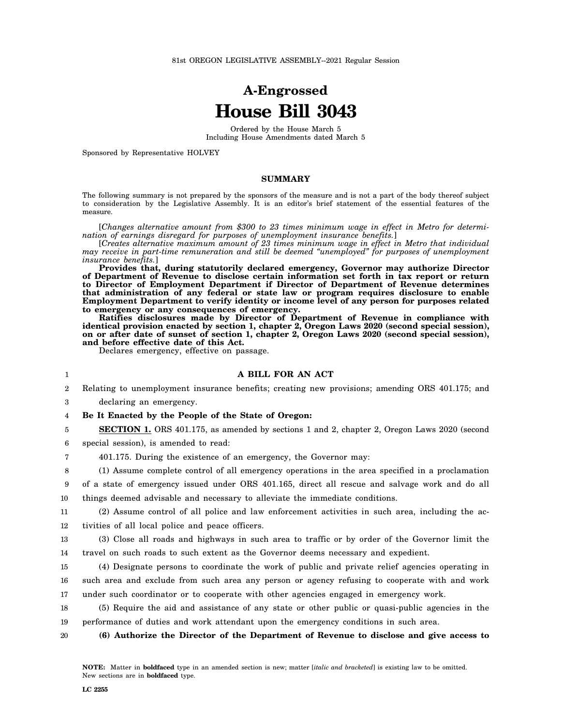# **A-Engrossed House Bill 3043**

Ordered by the House March 5 Including House Amendments dated March 5

Sponsored by Representative HOLVEY

### **SUMMARY**

The following summary is not prepared by the sponsors of the measure and is not a part of the body thereof subject to consideration by the Legislative Assembly. It is an editor's brief statement of the essential features of the measure.

[*Changes alternative amount from \$300 to 23 times minimum wage in effect in Metro for determination of earnings disregard for purposes of unemployment insurance benefits.*]

[*Creates alternative maximum amount of 23 times minimum wage in effect in Metro that individual may receive in part-time remuneration and still be deemed "unemployed" for purposes of unemployment insurance benefits.*]

**Provides that, during statutorily declared emergency, Governor may authorize Director of Department of Revenue to disclose certain information set forth in tax report or return to Director of Employment Department if Director of Department of Revenue determines that administration of any federal or state law or program requires disclosure to enable Employment Department to verify identity or income level of any person for purposes related to emergency or any consequences of emergency.**

**Ratifies disclosures made by Director of Department of Revenue in compliance with identical provision enacted by section 1, chapter 2, Oregon Laws 2020 (second special session), on or after date of sunset of section 1, chapter 2, Oregon Laws 2020 (second special session), and before effective date of this Act.**

Declares emergency, effective on passage.

### **A BILL FOR AN ACT**

2 Relating to unemployment insurance benefits; creating new provisions; amending ORS 401.175; and

3 declaring an emergency.

1

4 **Be It Enacted by the People of the State of Oregon:**

5 **SECTION 1.** ORS 401.175, as amended by sections 1 and 2, chapter 2, Oregon Laws 2020 (second

6 special session), is amended to read:

7 401.175. During the existence of an emergency, the Governor may:

8 (1) Assume complete control of all emergency operations in the area specified in a proclamation

9 of a state of emergency issued under ORS 401.165, direct all rescue and salvage work and do all

10 things deemed advisable and necessary to alleviate the immediate conditions.

11 12 (2) Assume control of all police and law enforcement activities in such area, including the activities of all local police and peace officers.

13 14 (3) Close all roads and highways in such area to traffic or by order of the Governor limit the travel on such roads to such extent as the Governor deems necessary and expedient.

15 16 17 (4) Designate persons to coordinate the work of public and private relief agencies operating in such area and exclude from such area any person or agency refusing to cooperate with and work under such coordinator or to cooperate with other agencies engaged in emergency work.

18 19 (5) Require the aid and assistance of any state or other public or quasi-public agencies in the performance of duties and work attendant upon the emergency conditions in such area.

20 **(6) Authorize the Director of the Department of Revenue to disclose and give access to**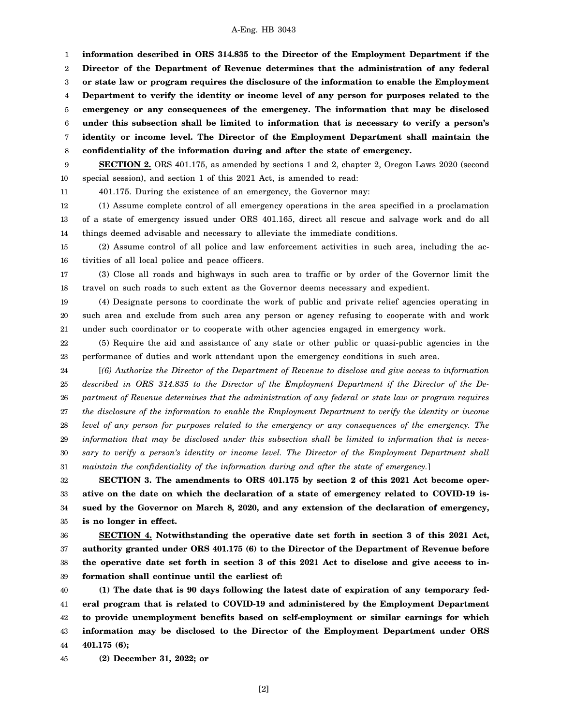#### A-Eng. HB 3043

1 2 3 4 5 6 7 8 **information described in ORS 314.835 to the Director of the Employment Department if the Director of the Department of Revenue determines that the administration of any federal or state law or program requires the disclosure of the information to enable the Employment Department to verify the identity or income level of any person for purposes related to the emergency or any consequences of the emergency. The information that may be disclosed under this subsection shall be limited to information that is necessary to verify a person's identity or income level. The Director of the Employment Department shall maintain the confidentiality of the information during and after the state of emergency.**

9 10 **SECTION 2.** ORS 401.175, as amended by sections 1 and 2, chapter 2, Oregon Laws 2020 (second special session), and section 1 of this 2021 Act, is amended to read:

11

401.175. During the existence of an emergency, the Governor may:

12 13 14 (1) Assume complete control of all emergency operations in the area specified in a proclamation of a state of emergency issued under ORS 401.165, direct all rescue and salvage work and do all things deemed advisable and necessary to alleviate the immediate conditions.

15 16 (2) Assume control of all police and law enforcement activities in such area, including the activities of all local police and peace officers.

17 18 (3) Close all roads and highways in such area to traffic or by order of the Governor limit the travel on such roads to such extent as the Governor deems necessary and expedient.

19 20 21 (4) Designate persons to coordinate the work of public and private relief agencies operating in such area and exclude from such area any person or agency refusing to cooperate with and work under such coordinator or to cooperate with other agencies engaged in emergency work.

22 23 (5) Require the aid and assistance of any state or other public or quasi-public agencies in the performance of duties and work attendant upon the emergency conditions in such area.

24 25 26 27 28 29 30 31 [*(6) Authorize the Director of the Department of Revenue to disclose and give access to information described in ORS 314.835 to the Director of the Employment Department if the Director of the Department of Revenue determines that the administration of any federal or state law or program requires the disclosure of the information to enable the Employment Department to verify the identity or income level of any person for purposes related to the emergency or any consequences of the emergency. The information that may be disclosed under this subsection shall be limited to information that is necessary to verify a person's identity or income level. The Director of the Employment Department shall maintain the confidentiality of the information during and after the state of emergency.*]

32 33 34 35 **SECTION 3. The amendments to ORS 401.175 by section 2 of this 2021 Act become operative on the date on which the declaration of a state of emergency related to COVID-19 issued by the Governor on March 8, 2020, and any extension of the declaration of emergency, is no longer in effect.**

36 37 38 39 **SECTION 4. Notwithstanding the operative date set forth in section 3 of this 2021 Act, authority granted under ORS 401.175 (6) to the Director of the Department of Revenue before the operative date set forth in section 3 of this 2021 Act to disclose and give access to information shall continue until the earliest of:**

40 41 42 43 44 **(1) The date that is 90 days following the latest date of expiration of any temporary federal program that is related to COVID-19 and administered by the Employment Department to provide unemployment benefits based on self-employment or similar earnings for which information may be disclosed to the Director of the Employment Department under ORS 401.175 (6);**

45 **(2) December 31, 2022; or**